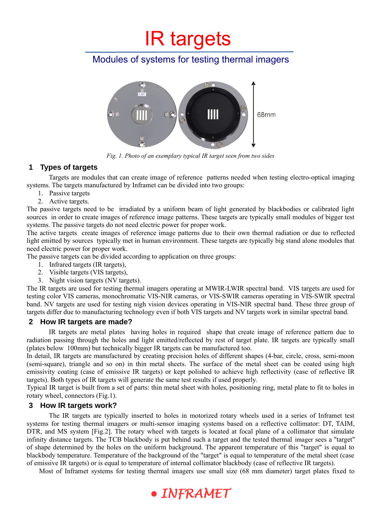# Modules of systems for testing thermal imagers



*Fig. 1. Photo of an exemplary typical IR target seen from two sides*

## **1 Types of targets**

Targets are modules that can create image of reference patterns needed when testing electro-optical imaging systems. The targets manufactured by Inframet can be divided into two groups:

- 1. Passive targets
- 2. Active targets.

The passive targets need to be irradiated by a uniform beam of light generated by blackbodies or calibrated light sources in order to create images of reference image patterns. These targets are typically small modules of bigger test systems. The passive targets do not need electric power for proper work.

The active targets create images of reference image patterns due to their own thermal radiation or due to reflected light emitted by sources typically met in human environment. These targets are typically big stand alone modules that need electric power for proper work.

The passive targets can be divided according to application on three groups:

- 1. Infrared targets (IR targets),
- 2. Visible targets (VIS targets),
- 3. Night vision targets (NV targets).

The IR targets are used for testing thermal imagers operating at MWIR-LWIR spectral band. VIS targets are used for testing color VIS cameras, monochromatic VIS-NIR cameras, or VIS-SWIR cameras operating in VIS-SWIR spectral band. NV targets are used for testing nigh vision devices operating in VIS-NIR spectral band. These three group of targets differ due to manufacturing technology even if both VIS targets and NV targets work in similar spectral band.

## **2 How IR targets are made?**

IR targets are metal plates having holes in required shape that create image of reference pattern due to radiation passing through the holes and light emitted/reflected by rest of target plate. IR targets are typically small (plates below 100mm) but technically bigger IR targets can be manufactured too.

In detail, IR targets are manufactured by creating precision holes of different shapes (4-bar, circle, cross, semi-moon (semi-square), triangle and so on) in thin metal sheets. The surface of the metal sheet can be coated using high emissivity coating (case of emissive IR targets) or kept polished to achieve high reflectivity (case of reflective IR targets). Both types of IR targets will generate the same test results if used properly.

Typical IR target is built from a set of parts: thin metal sheet with holes, positioning ring, metal plate to fit to holes in rotary wheel, connectors (Fig.1).

## **3 How IR targets work?**

The IR targets are typically inserted to holes in motorized rotary wheels used in a series of Inframet test systems for testing thermal imagers or multi-sensor imaging systems based on a reflective collimator: DT, TAIM, DTR, and MS system [Fig.2]. The rotary wheel with targets is located at focal plane of a collimator that simulate infinity distance targets. The TCB blackbody is put behind such a target and the tested thermal imager sees a "target" of shape determined by the holes on the uniform background. The apparent temperature of this "target" is equal to blackbody temperature. Temperature of the background of the "target" is equal to temperature of the metal sheet (case of emissive IR targets) or is equal to temperature of internal collimator blackbody (case of reflective IR targets).

Most of Inframet systems for testing thermal imagers use small size (68 mm diameter) target plates fixed to

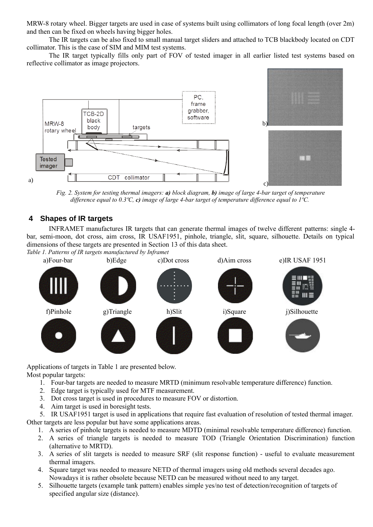MRW-8 rotary wheel. Bigger targets are used in case of systems built using collimators of long focal length (over 2m) and then can be fixed on wheels having bigger holes.

The IR targets can be also fixed to small manual target sliders and attached to TCB blackbody located on CDT collimator. This is the case of SIM and MIM test systems.

The IR target typically fills only part of FOV of tested imager in all earlier listed test systems based on reflective collimator as image projectors.



*Fig. 2. System for testing thermal imagers: a) block diagram, b) image of large 4-bar target of temperature difference equal to 0.3ºC, c) image of large 4-bar target of temperature difference equal to 1ºC.* 

## **4 Shapes of IR targets**

INFRAMET manufactures IR targets that can generate thermal images of twelve different patterns: single 4 bar, semi-moon, dot cross, aim cross, IR USAF1951, pinhole, triangle, slit, square, silhouette. Details on typical dimensions of these targets are presented in Section [13](#page-6-0) of this data sheet.



Applications of targets in Table 1 are presented below. Most popular targets:

- 1. Four-bar targets are needed to measure MRTD (minimum resolvable temperature difference) function.
- 2. Edge target is typically used for MTF measurement.
- 3. Dot cross target is used in procedures to measure FOV or distortion.
- 4. Aim target is used in boresight tests.

5. IR USAF1951 target is used in applications that require fast evaluation of resolution of tested thermal imager. Other targets are less popular but have some applications areas.

- 1. A series of pinhole targets is needed to measure MDTD (minimal resolvable temperature difference) function.
- 2. A series of triangle targets is needed to measure TOD (Triangle Orientation Discrimination) function (alternative to MRTD).
- 3. A series of slit targets is needed to measure SRF (slit response function) useful to evaluate measurement thermal imagers.
- 4. Square target was needed to measure NETD of thermal imagers using old methods several decades ago. Nowadays it is rather obsolete because NETD can be measured without need to any target.
- 5. Silhouette targets (example tank pattern) enables simple yes/no test of detection/recognition of targets of specified angular size (distance).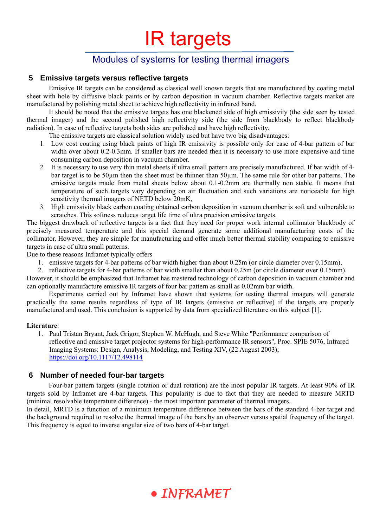# Modules of systems for testing thermal imagers

## **5 Emissive targets versus reflective targets**

Emissive IR targets can be considered as classical well known targets that are manufactured by coating metal sheet with hole by diffusive black paints or by carbon deposition in vacuum chamber. Reflective targets market are manufactured by polishing metal sheet to achieve high reflectivity in infrared band.

It should be noted that the emissive targets has one blackened side of high emissivity (the side seen by tested thermal imager) and the second polished high reflectivity side (the side from blackbody to reflect blackbody radiation). In case of reflective targets both sides are polished and have high reflectivity.

The emissive targets are classical solution widely used but have two big disadvantages:

- 1. Low cost coating using black paints of high IR emissivity is possible only for case of 4-bar pattern of bar width over about 0.2-0.3mm. If smaller bars are needed then it is necessary to use more expensive and time consuming carbon deposition in vacuum chamber.
- 2. It is necessary to use very thin metal sheets if ultra small pattern are precisely manufactured. If bar width of 4 bar target is to be 50um then the sheet must be thinner than 50um. The same rule for other bar patterns. The emissive targets made from metal sheets below about 0.1-0.2mm are thermally non stable. It means that temperature of such targets vary depending on air fluctuation and such variations are noticeable for high sensitivity thermal imagers of NETD below 20mK,
- 3. High emissivity black carbon coating obtained carbon deposition in vacuum chamber is soft and vulnerable to scratches. This softness reduces target life time of ultra precision emissive targets.

The biggest drawback of reflective targets is a fact that they need for proper work internal collimator blackbody of precisely measured temperature and this special demand generate some additional manufacturing costs of the collimator. However, they are simple for manufacturing and offer much better thermal stability comparing to emissive targets in case of ultra small patterns.

Due to these reasons Inframet typically offers

1. emissive targets for 4-bar patterns of bar width higher than about 0.25m (or circle diameter over 0.15mm),

2. reflective targets for 4-bar patterns of bar width smaller than about 0.25m (or circle diameter over 0.15mm). However, it should be emphasized that Inframet has mastered technology of carbon deposition in vacuum chamber and can optionally manufacture emissive IR targets of four bar pattern as small as 0.02mm bar width.

Experiments carried out by Inframet have shown that systems for testing thermal imagers will generate practically the same results regardless of type of IR targets (emissive or reflective) if the targets are properly manufactured and used. This conclusion is supported by data from specialized literature on this subject [1].

### **Literature**:

1. Paul Tristan Bryant, Jack Grigor, Stephen W. McHugh, and Steve White "Performance comparison of reflective and emissive target projector systems for high-performance IR sensors", Proc. SPIE 5076, Infrared Imaging Systems: Design, Analysis, Modeling, and Testing XIV, (22 August 2003); <https://doi.org/10.1117/12.498114>

## **6 Number of needed four-bar targets**

Four-bar pattern targets (single rotation or dual rotation) are the most popular IR targets. At least 90% of IR targets sold by Inframet are 4-bar targets. This popularity is due to fact that they are needed to measure MRTD (minimal resolvable temperature difference) - the most important parameter of thermal imagers.

In detail, MRTD is a function of a minimum temperature difference between the bars of the standard 4-bar target and the background required to resolve the thermal image of the bars by an observer versus spatial frequency of the target. This frequency is equal to inverse angular size of two bars of 4-bar target.

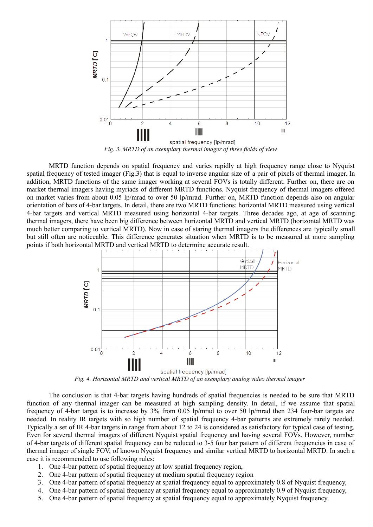

MRTD function depends on spatial frequency and varies rapidly at high frequency range close to Nyquist spatial frequency of tested imager (Fig.3) that is equal to inverse angular size of a pair of pixels of thermal imager. In addition, MRTD functions of the same imager working at several FOVs is totally different. Further on, there are on market thermal imagers having myriads of different MRTD functions. Nyquist frequency of thermal imagers offered on market varies from about 0.05 lp/mrad to over 50 lp/mrad. Further on, MRTD function depends also on angular orientation of bars of 4-bar targets. In detail, there are two MRTD functions: horizontal MRTD measured using vertical 4-bar targets and vertical MRTD measured using horizontal 4-bar targets. Three decades ago, at age of scanning thermal imagers, there have been big difference between horizontal MRTD and vertical MRTD (horizontal MRTD was much better comparing to vertical MRTD). Now in case of staring thermal imagers the differences are typically small but still often are noticeable. This difference generates situation when MRTD is to be measured at more sampling points if both horizontal MRTD and vertical MRTD to determine accurate result.



*Fig. 4. Horizontal MRTD and vertical MRTD of an exemplary analog video thermal imager* 

The conclusion is that 4-bar targets having hundreds of spatial frequencies is needed to be sure that MRTD function of any thermal imager can be measured at high sampling density. In detail, if we assume that spatial frequency of 4-bar target is to increase by 3% from 0.05 lp/mrad to over 50 lp/mrad then 234 four-bar targets are needed. In reality IR targets with so high number of spatial frequency 4-bar patterns are extremely rarely needed. Typically a set of IR 4-bar targets in range from about 12 to 24 is considered as satisfactory for typical case of testing. Even for several thermal imagers of different Nyquist spatial frequency and having several FOVs. However, number of 4-bar targets of different spatial frequency can be reduced to 3-5 four bar pattern of different frequencies in case of thermal imager of single FOV, of known Nyquist frequency and similar vertical MRTD to horizontal MRTD. In such a case it is recommended to use following rules:

- 1. One 4-bar pattern of spatial frequency at low spatial frequency region,
- 2. One 4-bar pattern of spatial frequency at medium spatial frequency region
- 3. One 4-bar pattern of spatial frequency at spatial frequency equal to approximately 0.8 of Nyquist frequency,
- 4. One 4-bar pattern of spatial frequency at spatial frequency equal to approximately 0.9 of Nyquist frequency,
- 5. One 4-bar pattern of spatial frequency at spatial frequency equal to approximately Nyquist frequency.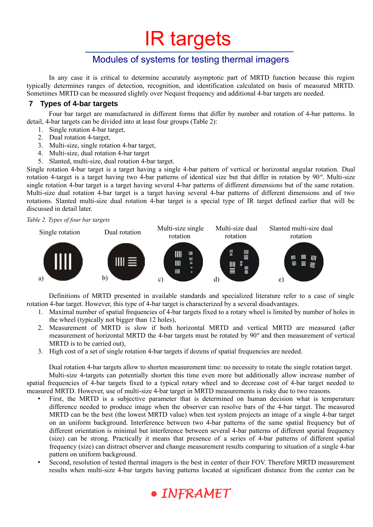# Modules of systems for testing thermal imagers

In any case it is critical to determine accurately asymptotic part of MRTD function because this region typically determines ranges of detection, recognition, and identification calculated on basis of measured MRTD. Sometimes MRTD can be measured slightly over Nequist frequency and additional 4-bar targets are needed.

## <span id="page-4-0"></span> **7 Types of 4-bar targets**

Four bar target are manufactured in different forms that differ by number and rotation of 4-bar patterns. In detail, 4-bar targets can be divided into at least four groups (Table 2):

- 1. Single rotation 4-bar target,
- 2. Dual rotation 4-target,
- 3. Multi-size, single rotation 4-bar target,
- 4. Multi-size, dual rotation 4-bar target
- 5. Slanted, multi-size, dual rotation 4-bar target.

Single rotation 4-bar target is a target having a single 4-bar pattern of vertical or horizontal angular rotation. Dual rotation 4-target is a target having two 4-bar patterns of identical size but that differ in rotation by 90 º. Multi-size single rotation 4-bar target is a target having several 4-bar patterns of different dimensions but of the same rotation. Multi-size dual rotation 4-bar target is a target having several 4-bar patterns of different dimensions and of two rotations. Slanted multi-size dual rotation 4-bar target is a special type of IR target defined earlier that will be discussed in detail later.

*Table 2. Types of four bar targets* 



Definitions of MRTD presented in available standards and specialized literature refer to a case of single rotation 4-bar target. However, this type of 4-bar target is characterized by a several disadvantages.

- 1. Maximal number of spatial frequencies of 4-bar targets fixed to a rotary wheel is limited by number of holes in the wheel (typically not bigger than 12 holes),
- 2. Measurement of MRTD is slow if both horizontal MRTD and vertical MRTD are measured (after measurement of horizontal MRTD the 4-bar targets must be rotated by 90º and then measurement of vertical MRTD is to be carried out),
- 3. High cost of a set of single rotation 4-bar targets if dozens of spatial frequencies are needed.

Dual rotation 4-bar targets allow to shorten measurement time: no necessity to rotate the single rotation target. Multi-size 4-targets can potentially shorten this time even more but additionally allow increase number of spatial frequencies of 4-bar targets fixed to a typical rotary wheel and to decrease cost of 4-bar target needed to measured MRTD. However, use of multi-size 4-bar target in MRTD measurements is risky due to two reasons.

- First, the MRTD is a subjective parameter that is determined on human decision what is temperature difference needed to produce image when the observer can resolve bars of the 4-bar target. The measured MRTD can be the best (the lowest MRTD value) when test system projects an image of a single 4-bar target on an uniform background. Interference between two 4-bar patterns of the same spatial frequency but of different orientation is minimal but interference between several 4-bar patterns of different spatial frequency (size) can be strong. Practically it means that presence of a series of 4-bar patterns of different spatial frequency (size) can distract observer and change measurement results comparing to situation of a single 4-bar pattern on uniform background.
- Second, resolution of tested thermal imagers is the best in center of their FOV. Therefore MRTD measurement results when multi-size 4-bar targets having patterns located at significant distance from the center can be

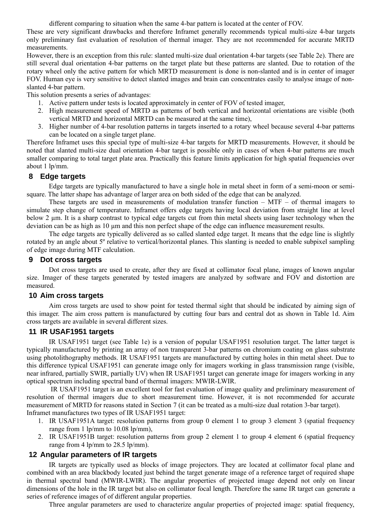different comparing to situation when the same 4-bar pattern is located at the center of FOV.

These are very significant drawbacks and therefore Inframet generally recommends typical multi-size 4-bar targets only preliminary fast evaluation of resolution of thermal imager. They are not recommended for accurate MRTD measurements.

However, there is an exception from this rule: slanted multi-size dual orientation 4-bar targets (see Table 2e). There are still several dual orientation 4-bar patterns on the target plate but these patterns are slanted. Due to rotation of the rotary wheel only the active pattern for which MRTD measurement is done is non-slanted and is in center of imager FOV. Human eye is very sensitive to detect slanted images and brain can concentrates easily to analyse image of nonslanted 4-bar pattern.

This solution presents a series of advantages:

- 1. Active pattern under tests is located approximately in center of FOV of tested imager,
- 2. High measurement speed of MRTD as patterns of both vertical and horizontal orientations are visible (both vertical MRTD and horizontal MRTD can be measured at the same time),
- 3. Higher number of 4-bar resolution patterns in targets inserted to a rotary wheel because several 4-bar patterns can be located on a single target plane.

Therefore Inframet uses this special type of multi-size 4-bar targets for MRTD measurements. However, it should be noted that slanted multi-size dual orientation 4-bar target is possible only in cases of when 4-bar patterns are much smaller comparing to total target plate area. Practically this feature limits application for high spatial frequencies over about 1 lp/mm.

## **8 Edge targets**

Edge targets are typically manufactured to have a single hole in metal sheet in form of a semi-moon or semisquare. The latter shape has advantage of larger area on both sided of the edge that can be analyzed.

These targets are used in measurements of modulation transfer function  $-$  MTF  $-$  of thermal imagers to simulate step change of temperature. Inframet offers edge targets having local deviation from straight line at level below 2 µm. It is a sharp contrast to typical edge targets cut from thin metal sheets using laser technology when the deviation can be as high as 10  $\mu$ m and this non perfect shape of the edge can influence measurement results.

The edge targets are typically delivered as so called slanted edge target. It means that the edge line is slightly rotated by an angle about 5º relative to vertical/horizontal planes. This slanting is needed to enable subpixel sampling of edge image during MTF calculation.

### **9 Dot cross targets**

Dot cross targets are used to create, after they are fixed at collimator focal plane, images of known angular size. Imager of these targets generated by tested imagers are analyzed by software and FOV and distortion are measured.

#### **10 Aim cross targets**

Aim cross targets are used to show point for tested thermal sight that should be indicated by aiming sign of this imager. The aim cross pattern is manufactured by cutting four bars and central dot as shown in Table 1d. Aim cross targets are available in several different sizes.

### **11 IR USAF1951 targets**

IR USAF1951 target (see Table 1e) is a version of popular USAF1951 resolution target. The latter target is typically manufactured by printing an array of non transparent 3-bar patterns on chromium coating on glass substrate using photolithography methods. IR USAF1951 targets are manufactured by cutting holes in thin metal sheet. Due to this difference typical USAF1951 can generate image only for imagers working in glass transmission range (visible, near infrared, partially SWIR, partially UV) when IR USAF1951 target can generate image for imagers working in any optical spectrum including spectral band of thermal imagers: MWIR-LWIR.

 IR USAF1951 target is an excellent tool for fast evaluation of image quality and preliminary measurement of resolution of thermal imagers due to short measurement time. However, it is not recommended for accurate measurement of MRTD for reasons stated in Section [7](#page-4-0) (it can be treated as a multi-size dual rotation 3-bar target). Inframet manufactures two types of IR USAF1951 target:

- 1. IR USAF1951A target: resolution patterns from group 0 element 1 to group 3 element 3 (spatial frequency range from 1 lp/mm to 10.08 lp/mm),
- 2. IR USAF1951B target: resolution patterns from group 2 element 1 to group 4 element 6 (spatial frequency range from 4 lp/mm to 28.5 lp/mm).

### **12 Angular parameters of IR targets**

IR targets are typically used as blocks of image projectors. They are located at collimator focal plane and combined with an area blackbody located just behind the target generate image of a reference target of required shape in thermal spectral band (MWIR-LWIR). The angular properties of projected image depend not only on linear dimensions of the hole in the IR target but also on collimator focal length. Therefore the same IR target can generate a series of reference images of of different angular properties.

Three angular parameters are used to characterize angular properties of projected image: spatial frequency,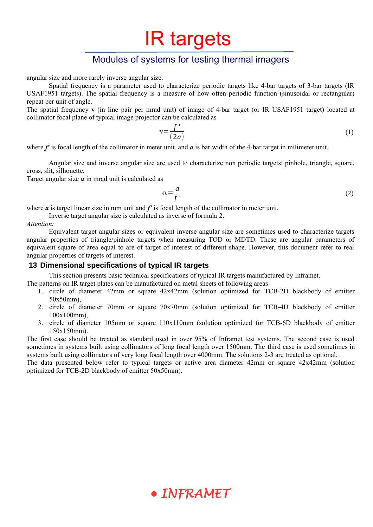# Modules of systems for testing thermal imagers

angular size and more rarely inverse angular size.

Spatial frequency is a parameter used to characterize periodic targets like 4-bar targets of 3-bar targets (IR USAF1951 targets). The spatial frequency is a measure of how often periodic function (sinusoidal or rectangular) repeat per unit of angle.

The spatial frequency **v** (in line pair per mrad unit) of image of 4-bar target (or IR USAF1951 target) located at collimator focal plane of typical image projector can be calculated as

$$
v = \frac{f'}{(2a)}\tag{1}
$$

where *f'* is focal length of the collimator in meter unit, and *a* is bar width of the 4-bar target in milimeter unit.

Angular size and inverse angular size are used to characterize non periodic targets: pinhole, triangle, square, cross, slit, silhouette.

Target angular size  $\alpha$  in mrad unit is calculated as

<span id="page-6-1"></span>
$$
\alpha = \frac{a}{f},\tag{2}
$$

where  $\boldsymbol{a}$  is target linear size in mm unit and  $\boldsymbol{f}'$  is focal length of the collimator in meter unit.

Inverse target angular size is calculated as inverse of formula [2](#page-6-1).

*Attention:*

Equivalent target angular sizes or equivalent inverse angular size are sometimes used to characterize targets angular properties of triangle/pinhole targets when measuring TOD or MDTD. These are angular parameters of equivalent square of area equal to are of target of interest of different shape. However, this document refer to real angular properties of targets of interest.

### <span id="page-6-0"></span> **13 Dimensional specifications of typical IR targets**

This section presents basic technical specifications of typical IR targets manufactured by Inframet.

- The patterns on IR target plates can be manufactured on metal sheets of following areas
	- 1. circle of diameter 42mm or square 42x42mm (solution optimized for TCB-2D blackbody of emitter 50x50mm),
	- 2. circle of diameter 70mm or square 70x70mm (solution optimized for TCB-4D blackbody of emitter 100x100mm),
	- 3. circle of diameter 105mm or square 110x110mm (solution optimized for TCB-6D blackbody of emitter 150x150mm).

The first case should be treated as standard used in over 95% of Inframet test systems. The second case is used sometimes in systems built using collimators of long focal length over 1500mm. The third case is used sometimes in systems built using collimators of very long focal length over 4000mm. The solutions 2-3 are treated as optional.

The data presented below refer to typical targets or active area diameter 42mm or square 42x42mm (solution optimized for TCB-2D blackbody of emitter 50x50mm).

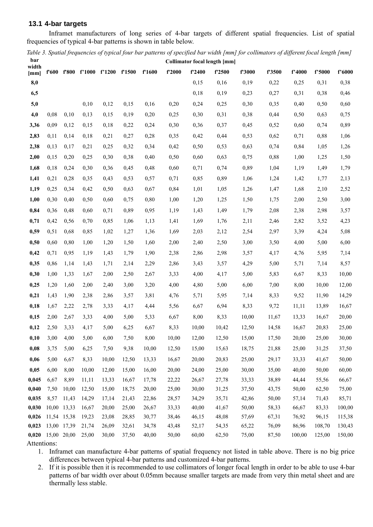### **13.1 4-bar targets**

Inframet manufacturers of long series of 4-bar targets of different spatial frequencies. List of spatial frequencies of typical 4-bar patterns is shown in table below.

*Table 3. Spatial frequencies of typical four bar patterns of specified bar width [mm] for collimators of different focal length [mm]* **bar Collimator focal length [mm]**

| width          |              |                |                | f'600 f'800 f'1000 f'1200 f'1500 |                | f'1600         | f'2000         | f'2400         | f'2500         | f'3000         | f'3500         | f'4000         | f'5000         | f'6000         |
|----------------|--------------|----------------|----------------|----------------------------------|----------------|----------------|----------------|----------------|----------------|----------------|----------------|----------------|----------------|----------------|
| [mm]<br>8,0    |              |                |                |                                  |                |                |                | 0,15           | 0,16           | 0,19           | 0,22           | 0,25           | 0,31           | 0,38           |
| 6,5            |              |                |                |                                  |                |                |                | 0,18           | 0,19           | 0,23           | 0,27           | 0,31           | 0,38           | 0,46           |
| 5,0            |              |                | 0,10           | 0,12                             | 0,15           | 0,16           | 0,20           | 0,24           | 0,25           | 0,30           | 0,35           | 0,40           | 0,50           | 0,60           |
| 4,0            | 0,08         | 0,10           | 0,13           | 0,15                             | 0,19           | 0,20           | 0,25           | 0,30           | 0,31           | 0,38           | 0,44           | 0,50           | 0,63           | 0,75           |
| 3,36           | 0,09         | 0,12           | 0,15           | 0,18                             | 0,22           | 0,24           | 0,30           | 0,36           | 0,37           | 0,45           | 0,52           | 0,60           | 0,74           | 0,89           |
| 2,83           | 0,11         | 0,14           | 0,18           | 0,21                             | 0,27           | 0,28           | 0,35           | 0,42           | 0,44           | 0,53           | 0,62           | 0,71           | 0,88           | 1,06           |
| 2,38           | 0,13         | 0,17           | 0,21           | 0,25                             | 0,32           | 0,34           | 0,42           | 0,50           | 0,53           | 0,63           | 0,74           | 0,84           | 1,05           | 1,26           |
| 2,00           | 0,15         | 0,20           | 0,25           | 0,30                             | 0,38           | 0,40           | 0,50           | 0,60           | 0,63           | 0,75           | 0,88           | 1,00           | 1,25           | 1,50           |
| 1,68           | 0,18         | 0,24           | 0,30           | 0,36                             | 0,45           | 0,48           | 0,60           | 0,71           | 0,74           | 0,89           | 1,04           | 1,19           | 1,49           | 1,79           |
| 1,41           | 0,21         | 0,28           | 0,35           | 0,43                             | 0,53           | 0,57           | 0,71           | 0,85           | 0,89           | 1,06           | 1,24           | 1,42           | 1,77           | 2,13           |
| 1,19           | 0,25         | 0,34           | 0,42           | 0,50                             | 0,63           | 0,67           | 0,84           | 1,01           | 1,05           | 1,26           | 1,47           | 1,68           | 2,10           | 2,52           |
| 1,00           | 0,30         | 0,40           | 0,50           | 0,60                             | 0,75           | 0,80           | 1,00           | 1,20           | 1,25           | 1,50           | 1,75           | 2,00           | 2,50           | 3,00           |
| 0,84           | 0,36         | 0,48           | 0,60           | 0,71                             | 0,89           | 0,95           | 1,19           | 1,43           | 1,49           | 1,79           | 2,08           | 2,38           | 2,98           | 3,57           |
| 0,71           | 0,42         | 0,56           | 0,70           | 0,85                             | 1,06           | 1,13           | 1,41           | 1,69           | 1,76           | 2,11           | 2,46           | 2,82           | 3,52           | 4,23           |
| 0,59           | 0,51         | 0,68           | 0,85           | 1,02                             | 1,27           | 1,36           | 1,69           | 2,03           | 2,12           |                | 2,97           |                | 4,24           | 5,08           |
|                |              |                |                |                                  | 1,50           |                |                |                |                | 2,54           |                | 3,39           |                |                |
| 0,50           | 0,60         | 0,80           | 1,00           | 1,20                             |                | 1,60           | 2,00           | 2,40           | 2,50           | 3,00           | 3,50           | 4,00           | 5,00           | 6,00           |
| 0,42           | 0,71         | 0,95           | 1,19           | 1,43                             | 1,79           | 1,90           | 2,38           | 2,86           | 2,98           | 3,57           | 4,17           | 4,76           | 5,95           | 7,14           |
| 0,35           | 0,86         | 1,14           | 1,43           | 1,71                             | 2,14           | 2,29           | 2,86           | 3,43           | 3,57           | 4,29           | 5,00           | 5,71           | 7,14           | 8,57           |
| 0,30           | 1,00         | 1,33           | 1,67           | 2,00                             | 2,50           | 2,67           | 3,33           | 4,00           | 4,17           | 5,00           | 5,83           | 6,67           | 8,33           | 10,00          |
| 0,25           | 1,20         | 1,60           | 2,00           | 2,40                             | 3,00           | 3,20           | 4,00           | 4,80           | 5,00           | 6,00           | 7,00           | 8,00           | 10,00          | 12,00          |
| 0,21           | 1,43         | 1,90           | 2,38           | 2,86                             | 3,57           | 3,81           | 4,76           | 5,71           | 5,95           | 7,14           | 8,33           | 9,52           | 11,90          | 14,29          |
| 0,18           | 1,67         | 2,22           | 2,78           | 3,33                             | 4,17           | 4,44           | 5,56           | 6,67           | 6,94           | 8,33           | 9,72           | 11,11          | 13,89          | 16,67          |
| 0,15           | 2,00         | 2,67           | 3,33           | 4,00                             | 5,00           | 5,33           | 6,67           | 8,00           | 8,33           | 10,00          | 11,67          | 13,33          | 16,67          | 20,00          |
| 0,12           | 2,50         | 3,33           | 4,17           | 5,00                             | 6,25           | 6,67           | 8,33           | 10,00          | 10,42          | 12,50          | 14,58          | 16,67          | 20,83          | 25,00          |
| 0,10           | 3,00         | 4,00           | 5,00           | 6,00                             | 7,50           | 8,00           | 10,00          | 12,00          | 12,50          | 15,00          | 17,50          | 20,00          | 25,00          | 30,00          |
| 0,08           | 3,75         | 5,00           | 6,25           | 7,50                             | 9,38           | 10,00          | 12,50          | 15,00          | 15,63          | 18,75          | 21,88          | 25,00          | 31,25          | 37,50          |
| 0,06           | 5,00         | 6,67           | 8,33           | 10,00                            | 12,50          | 13,33          | 16,67          | 20,00          | 20,83          | 25,00          | 29,17          | 33,33          | 41,67          | 50,00          |
| 0,05           | 6,00         | 8,00           | 10,00          | 12,00                            | 15,00          | 16,00          | 20,00          | 24,00          | 25,00          | 30,00          | 35,00          | 40,00          | 50,00          | 60,00          |
| 0,045          | 6,67         | 8,89           | 11,11          | 13,33                            | 16,67          | 17,78          | 22,22          | 26,67          | 27,78          | 33,33          | 38,89          | 44,44          | 55,56          | 66,67          |
| 0,040<br>0,035 | 7,50<br>8,57 | 10,00<br>11,43 | 12,50<br>14,29 | 15,00<br>17,14                   | 18,75<br>21,43 | 20,00<br>22,86 | 25,00<br>28,57 | 30,00<br>34,29 | 31,25<br>35,71 | 37,50<br>42,86 | 43,75<br>50,00 | 50,00<br>57,14 | 62,50<br>71,43 | 75,00<br>85,71 |
| 0,030          |              | 10,00 13,33    | 16,67          | 20,00                            | 25,00          | 26,67          | 33,33          | 40,00          | 41,67          | 50,00          | 58,33          | 66,67          | 83,33          | 100,00         |
| 0,026          |              | 11,54 15,38    | 19,23          | 23,08                            | 28,85          | 30,77          | 38,46          | 46,15          | 48,08          | 57,69          | 67,31          | 76,92          | 96,15          | 115,38         |
| 0,023          |              | 13,00 17,39    | 21,74          | 26,09                            | 32,61          | 34,78          | 43,48          | 52,17          | 54,35          | 65,22          | 76,09          | 86,96          | 108,70         | 130,43         |
| 0,020          |              | 15,00 20,00    | 25,00          | 30,00                            | 37,50          | 40,00          | 50,00          | 60,00          | 62,50          | 75,00          | 87,50          | 100,00         | 125,00         | 150,00         |
|                |              |                |                |                                  |                |                |                |                |                |                |                |                |                |                |

Attentions:

1. Inframet can manufacture 4-bar patterns of spatial frequency not listed in table above. There is no big price differences between typical 4-bar patterns and customized 4-bar patterns.

2. If it is possible then it is recommended to use collimators of longer focal length in order to be able to use 4-bar patterns of bar width over about 0.05mm because smaller targets are made from very thin metal sheet and are thermally less stable.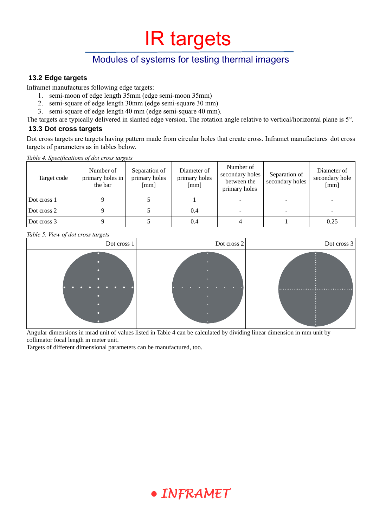# Modules of systems for testing thermal imagers

## **13.2 Edge targets**

Inframet manufactures following edge targets:

- 1. semi-moon of edge length 35mm (edge semi-moon 35mm)
- 2. semi-square of edge length 30mm (edge semi-square 30 mm)
- 3. semi-square of edge length 40 mm (edge semi-square 40 mm).
- The targets are typically delivered in slanted edge version. The rotation angle relative to vertical/horizontal plane is 5º.

### **13.3 Dot cross targets**

Dot cross targets are targets having pattern made from circular holes that create cross. Inframet manufactures dot cross targets of parameters as in tables below.

<span id="page-8-0"></span>*Table 4. Specifications of dot cross targets* 

| Target code | Number of<br>primary holes in<br>the bar | Separation of<br>primary holes<br>$\lceil$ mm $\rceil$ | Diameter of<br>primary holes<br>[mm] | Number of<br>secondary holes<br>between the<br>primary holes | Separation of<br>secondary holes | Diameter of<br>secondary hole<br>[mm] |  |
|-------------|------------------------------------------|--------------------------------------------------------|--------------------------------------|--------------------------------------------------------------|----------------------------------|---------------------------------------|--|
| Dot cross 1 |                                          |                                                        |                                      |                                                              |                                  | $\overline{\phantom{0}}$              |  |
| Dot cross 2 |                                          |                                                        | 0.4                                  |                                                              |                                  |                                       |  |
| Dot cross 3 |                                          |                                                        | 0.4                                  |                                                              |                                  | 0.25                                  |  |

#### *Table 5. View of dot cross targets*



Angular dimensions in mrad unit of values listed in Table [4](#page-8-0) can be calculated by dividing linear dimension in mm unit by collimator focal length in meter unit.

Targets of different dimensional parameters can be manufactured, too.

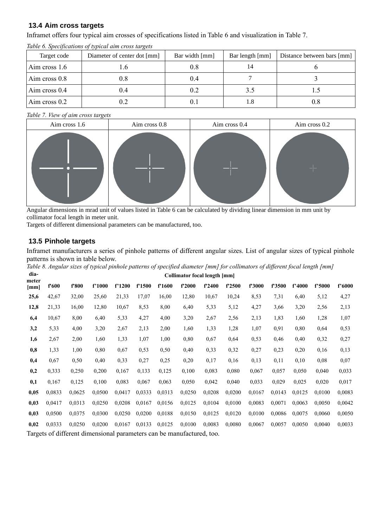## **13.4 Aim cross targets**

Inframet offers four typical aim crosses of specifications listed in Table [6](#page-9-0) and visualization in Table [7](#page-9-1).

| Target code     | Diameter of center dot [mm] | Bar width [mm] | Bar length [mm] | Distance between bars [mm] |
|-----------------|-----------------------------|----------------|-----------------|----------------------------|
| Aim cross 1.6   | . O                         | 0.8            | 14              |                            |
| Aim cross $0.8$ | 0.8                         | 0.4            |                 |                            |
| Aim cross 0.4   | 0.4                         | 0.2            | 3.5             |                            |
| Aim cross $0.2$ | 0.2                         | V. I           | 1.8             | 0.8                        |

<span id="page-9-0"></span>*Table 6. Specifications of typical aim cross targets* 

#### <span id="page-9-1"></span>*Table 7. View of aim cross targets*



Angular dimensions in mrad unit of values listed in Table [6](#page-9-0) can be calculated by dividing linear dimension in mm unit by collimator focal length in meter unit.

Targets of different dimensional parameters can be manufactured, too.

### **13.5 Pinhole targets**

Inframet manufacturers a series of pinhole patterns of different angular sizes. List of angular sizes of typical pinhole patterns is shown in table below.

*Table 8. Angular sizes of typical pinhole patterns of specified diameter [mm] for collimators of different focal length [mm]*

| dia-<br>Collimator focal length [mm]<br>meter |        |                                                                                                                |        |        |        |        |        |        |        |        |        |        |        |        |  |
|-----------------------------------------------|--------|----------------------------------------------------------------------------------------------------------------|--------|--------|--------|--------|--------|--------|--------|--------|--------|--------|--------|--------|--|
| [mm]                                          | f'600  | f'800                                                                                                          | f'1000 | f'1200 | f'1500 | f'1600 | f'2000 | f'2400 | f'2500 | f'3000 | f'3500 | f'4000 | f'5000 | f'6000 |  |
| 25,6                                          | 42,67  | 32,00                                                                                                          | 25,60  | 21,33  | 17,07  | 16,00  | 12,80  | 10,67  | 10,24  | 8,53   | 7,31   | 6,40   | 5,12   | 4,27   |  |
| 12,8                                          | 21,33  | 16,00                                                                                                          | 12,80  | 10,67  | 8,53   | 8,00   | 6,40   | 5,33   | 5,12   | 4,27   | 3,66   | 3,20   | 2,56   | 2,13   |  |
| 6,4                                           | 10,67  | 8,00                                                                                                           | 6,40   | 5,33   | 4,27   | 4,00   | 3,20   | 2,67   | 2,56   | 2,13   | 1,83   | 1,60   | 1,28   | 1,07   |  |
| 3,2                                           | 5,33   | 4,00                                                                                                           | 3,20   | 2,67   | 2,13   | 2,00   | 1,60   | 1,33   | 1,28   | 1,07   | 0,91   | 0,80   | 0,64   | 0,53   |  |
| 1,6                                           | 2,67   | 2,00                                                                                                           | 1,60   | 1,33   | 1,07   | 1,00   | 0,80   | 0,67   | 0,64   | 0,53   | 0,46   | 0,40   | 0,32   | 0,27   |  |
| 0,8                                           | 1,33   | 1,00                                                                                                           | 0.80   | 0.67   | 0,53   | 0,50   | 0,40   | 0,33   | 0,32   | 0,27   | 0,23   | 0,20   | 0,16   | 0,13   |  |
| 0,4                                           | 0,67   | 0,50                                                                                                           | 0,40   | 0,33   | 0,27   | 0,25   | 0,20   | 0,17   | 0,16   | 0,13   | 0,11   | 0,10   | 0,08   | 0,07   |  |
| 0,2                                           | 0,333  | 0,250                                                                                                          | 0,200  | 0,167  | 0,133  | 0,125  | 0,100  | 0.083  | 0,080  | 0,067  | 0,057  | 0,050  | 0,040  | 0,033  |  |
| 0,1                                           | 0,167  | 0,125                                                                                                          | 0,100  | 0.083  | 0,067  | 0,063  | 0,050  | 0,042  | 0,040  | 0,033  | 0,029  | 0,025  | 0,020  | 0,017  |  |
| 0,05                                          | 0,0833 | 0,0625                                                                                                         | 0,0500 | 0,0417 | 0,0333 | 0,0313 | 0,0250 | 0,0208 | 0,0200 | 0,0167 | 0,0143 | 0,0125 | 0,0100 | 0,0083 |  |
| 0,03                                          | 0.0417 | 0.0313                                                                                                         | 0,0250 | 0.0208 | 0,0167 | 0.0156 | 0.0125 | 0,0104 | 0,0100 | 0.0083 | 0.0071 | 0.0063 | 0,0050 | 0,0042 |  |
| 0,03                                          | 0,0500 | 0,0375                                                                                                         | 0,0300 | 0.0250 | 0,0200 | 0,0188 | 0,0150 | 0,0125 | 0,0120 | 0,0100 | 0,0086 | 0,0075 | 0,0060 | 0,0050 |  |
| 0,02                                          | 0.0333 | 0,0250                                                                                                         | 0,0200 | 0.0167 | 0,0133 | 0,0125 | 0,0100 | 0,0083 | 0,0080 | 0,0067 | 0,0057 | 0,0050 | 0,0040 | 0,0033 |  |
|                                               |        | $\mathbf{T}_{\text{max}}$ is a constant in the construction of a construction of $\mathbf{c}$ and $\mathbf{c}$ |        |        |        |        |        |        |        |        |        |        |        |        |  |

Targets of different dimensional parameters can be manufactured, too.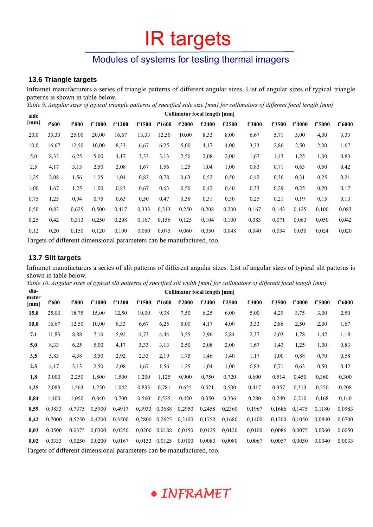# Modules of systems for testing thermal imagers

## **13.6 Triangle targets**

Inframet manufacturers a series of triangle patterns of different angular sizes. List of angular sizes of typical triangle patterns is shown in table below.

*Table 9. Angular sizes of typical triangle patterns of specified side size [mm] for collimators of different focal length [mm]* **Collimator focal length [mm]**

| side |       | Commator focal length [mm] |        |                                                                       |                   |        |        |        |        |        |        |        |        |        |
|------|-------|----------------------------|--------|-----------------------------------------------------------------------|-------------------|--------|--------|--------|--------|--------|--------|--------|--------|--------|
| [mm] | f'600 | f'800                      | f'1000 | f'1200                                                                | f <sup>1500</sup> | f'1600 | f'2000 | f'2400 | f'2500 | f'3000 | f'3500 | f'4000 | f'5000 | f'6000 |
| 20,0 | 33,33 | 25,00                      | 20,00  | 16,67                                                                 | 13,33             | 12,50  | 10,00  | 8,33   | 8,00   | 6,67   | 5,71   | 5,00   | 4,00   | 3,33   |
| 10,0 | 16,67 | 12,50                      | 10,00  | 8,33                                                                  | 6,67              | 6,25   | 5,00   | 4,17   | 4,00   | 3,33   | 2,86   | 2,50   | 2,00   | 1,67   |
| 5,0  | 8,33  | 6,25                       | 5,00   | 4,17                                                                  | 3,33              | 3,13   | 2,50   | 2,08   | 2,00   | 1,67   | 1,43   | 1,25   | 1,00   | 0,83   |
| 2,5  | 4,17  | 3,13                       | 2,50   | 2,08                                                                  | 1,67              | 1,56   | 1,25   | 1,04   | 1,00   | 0,83   | 0,71   | 0.63   | 0,50   | 0,42   |
| 1,25 | 2,08  | 1,56                       | 1,25   | 1,04                                                                  | 0,83              | 0,78   | 0,63   | 0,52   | 0,50   | 0,42   | 0.36   | 0,31   | 0,25   | 0,21   |
| 1,00 | 1,67  | 1,25                       | 1,00   | 0,83                                                                  | 0,67              | 0.63   | 0,50   | 0,42   | 0,40   | 0,33   | 0,29   | 0,25   | 0,20   | 0,17   |
| 0,75 | 1,25  | 0,94                       | 0,75   | 0,63                                                                  | 0,50              | 0,47   | 0,38   | 0,31   | 0,30   | 0,25   | 0,21   | 0,19   | 0,15   | 0,13   |
| 0.50 | 0.83  | 0.625                      | 0,500  | 0,417                                                                 | 0.333             | 0,313  | 0,250  | 0,208  | 0,200  | 0,167  | 0.143  | 0,125  | 0,100  | 0,083  |
| 0.25 | 0,42  | 0.313                      | 0,250  | 0.208                                                                 | 0,167             | 0.156  | 0,125  | 0,104  | 0,100  | 0.083  | 0.071  | 0.063  | 0,050  | 0,042  |
| 0.12 | 0,20  | 0,150                      | 0,120  | 0,100                                                                 | 0,080             | 0,075  | 0,060  | 0,050  | 0,048  | 0,040  | 0.034  | 0.030  | 0,024  | 0,020  |
|      |       |                            |        | Toppets of different dimensional nononceptors and he monufactured too |                   |        |        |        |        |        |        |        |        |        |

Targets of different dimensional parameters can be manufactured, too.

### **13.7 Slit targets**

Inframet manufacturers a series of slit patterns of different angular sizes. List of angular sizes of typical slit patterns is shown in table below.

*Table 10. Angular sizes of typical slit patterns of specified slit width [mm] for collimators of different focal length [mm]* **dia-Collimator focal length [mm]**

| ula-          |        | Collimator focal length [mm] |        |                                                                       |        |        |        |        |        |        |        |        |        |        |  |
|---------------|--------|------------------------------|--------|-----------------------------------------------------------------------|--------|--------|--------|--------|--------|--------|--------|--------|--------|--------|--|
| meter<br>[mm] | f'600  | f'800                        | f'1000 | f'1200                                                                | f'1500 | f'1600 | f'2000 | f'2400 | f'2500 | f'3000 | f'3500 | f'4000 | f'5000 | f'6000 |  |
| 15,0          | 25,00  | 18,75                        | 15,00  | 12,50                                                                 | 10,00  | 9,38   | 7,50   | 6,25   | 6,00   | 5,00   | 4,29   | 3,75   | 3,00   | 2,50   |  |
| 10,0          | 16,67  | 12,50                        | 10,00  | 8,33                                                                  | 6,67   | 6,25   | 5,00   | 4,17   | 4,00   | 3,33   | 2,86   | 2,50   | 2,00   | 1,67   |  |
| 7,1           | 11,83  | 8,88                         | 7,10   | 5,92                                                                  | 4,73   | 4,44   | 3,55   | 2,96   | 2,84   | 2,37   | 2,03   | 1,78   | 1,42   | 1,18   |  |
| 5,0           | 8,33   | 6,25                         | 5,00   | 4,17                                                                  | 3,33   | 3,13   | 2,50   | 2,08   | 2,00   | 1,67   | 1,43   | 1,25   | 1,00   | 0,83   |  |
| 3,5           | 5,83   | 4,38                         | 3,50   | 2,92                                                                  | 2,33   | 2,19   | 1,75   | 1,46   | 1,40   | 1,17   | 1,00   | 0.88   | 0,70   | 0,58   |  |
| 2,5           | 4,17   | 3,13                         | 2,50   | 2,08                                                                  | 1,67   | 1,56   | 1,25   | 1,04   | 1,00   | 0,83   | 0,71   | 0,63   | 0,50   | 0,42   |  |
| 1,8           | 3,000  | 2,250                        | 1,800  | 1,500                                                                 | 1,200  | 1,125  | 0,900  | 0,750  | 0,720  | 0,600  | 0,514  | 0,450  | 0,360  | 0,300  |  |
| 1,25          | 2,083  | 1,563                        | 1,250  | 1,042                                                                 | 0,833  | 0.781  | 0,625  | 0,521  | 0,500  | 0,417  | 0,357  | 0,313  | 0,250  | 0,208  |  |
| 0,84          | 1,400  | 1,050                        | 0,840  | 0,700                                                                 | 0,560  | 0,525  | 0,420  | 0,350  | 0,336  | 0,280  | 0,240  | 0,210  | 0,168  | 0,140  |  |
| 0,59          | 0.9833 | 0,7375                       | 0.5900 | 0,4917                                                                | 0.3933 | 0,3688 | 0,2950 | 0,2458 | 0,2360 | 0,1967 | 0.1686 | 0,1475 | 0,1180 | 0,0983 |  |
| 0,42          | 0,7000 | 0,5250                       | 0,4200 | 0,3500                                                                | 0,2800 | 0,2625 | 0,2100 | 0,1750 | 0,1680 | 0,1400 | 0,1200 | 0,1050 | 0,0840 | 0,0700 |  |
| 0,03          | 0,0500 | 0.0375                       | 0,0300 | 0.0250                                                                | 0,0200 | 0,0188 | 0.0150 | 0.0125 | 0,0120 | 0,0100 | 0.0086 | 0,0075 | 0,0060 | 0,0050 |  |
| 0,02          | 0.0333 | 0,0250                       | 0,0200 | 0,0167                                                                | 0.0133 | 0.0125 | 0,0100 | 0.0083 | 0.0080 | 0,0067 | 0,0057 | 0.0050 | 0,0040 | 0,0033 |  |
|               |        |                              |        | Toronto of different dimensional necessators can be meantfactured too |        |        |        |        |        |        |        |        |        |        |  |

Targets of different dimensional parameters can be manufactured, too.